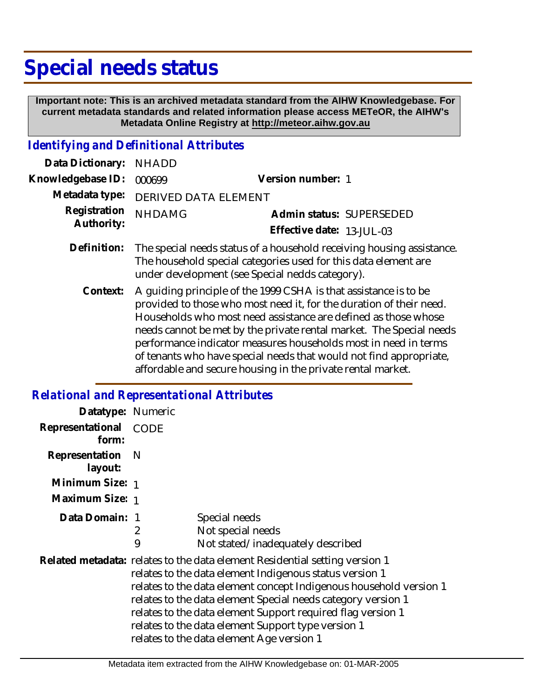## **Special needs status**

 **Important note: This is an archived metadata standard from the AIHW Knowledgebase. For current metadata standards and related information please access METeOR, the AIHW's Metadata Online Registry at http://meteor.aihw.gov.au**

## *Identifying and Definitional Attributes*

| Data Dictionary:           | <b>NHADD</b>                                                                                                                                                                                                                                                                                                                                                                                                                                                                             |                                                       |
|----------------------------|------------------------------------------------------------------------------------------------------------------------------------------------------------------------------------------------------------------------------------------------------------------------------------------------------------------------------------------------------------------------------------------------------------------------------------------------------------------------------------------|-------------------------------------------------------|
| Knowledgebase ID:          | 000699                                                                                                                                                                                                                                                                                                                                                                                                                                                                                   | Version number: 1                                     |
| Metadata type:             | <b>DERIVED DATA ELEMENT</b>                                                                                                                                                                                                                                                                                                                                                                                                                                                              |                                                       |
| Registration<br>Authority: | <b>NHDAMG</b>                                                                                                                                                                                                                                                                                                                                                                                                                                                                            | Admin status: SUPERSEDED<br>Effective date: 13-JUL-03 |
| Definition:                | The special needs status of a household receiving housing assistance.<br>The household special categories used for this data element are<br>under development (see Special nedds category).                                                                                                                                                                                                                                                                                              |                                                       |
| Context:                   | A guiding principle of the 1999 CSHA is that assistance is to be<br>provided to those who most need it, for the duration of their need.<br>Households who most need assistance are defined as those whose<br>needs cannot be met by the private rental market. The Special needs<br>performance indicator measures households most in need in terms<br>of tenants who have special needs that would not find appropriate,<br>affordable and secure housing in the private rental market. |                                                       |

## *Relational and Representational Attributes*

| Datatype: Numeric         |                                                                                                                                                                                                                                                                                                                                                                                                                                                |                                                                         |
|---------------------------|------------------------------------------------------------------------------------------------------------------------------------------------------------------------------------------------------------------------------------------------------------------------------------------------------------------------------------------------------------------------------------------------------------------------------------------------|-------------------------------------------------------------------------|
| Representational<br>form: | CODE                                                                                                                                                                                                                                                                                                                                                                                                                                           |                                                                         |
| Representation<br>layout: | -N                                                                                                                                                                                                                                                                                                                                                                                                                                             |                                                                         |
| Minimum Size: 1           |                                                                                                                                                                                                                                                                                                                                                                                                                                                |                                                                         |
| Maximum Size: 1           |                                                                                                                                                                                                                                                                                                                                                                                                                                                |                                                                         |
| Data Domain: 1            | 2<br>9                                                                                                                                                                                                                                                                                                                                                                                                                                         | Special needs<br>Not special needs<br>Not stated/inadequately described |
|                           | Related metadata: relates to the data element Residential setting version 1<br>relates to the data element Indigenous status version 1<br>relates to the data element concept Indigenous household version 1<br>relates to the data element Special needs category version 1<br>relates to the data element Support required flag version 1<br>relates to the data element Support type version 1<br>relates to the data element Age version 1 |                                                                         |